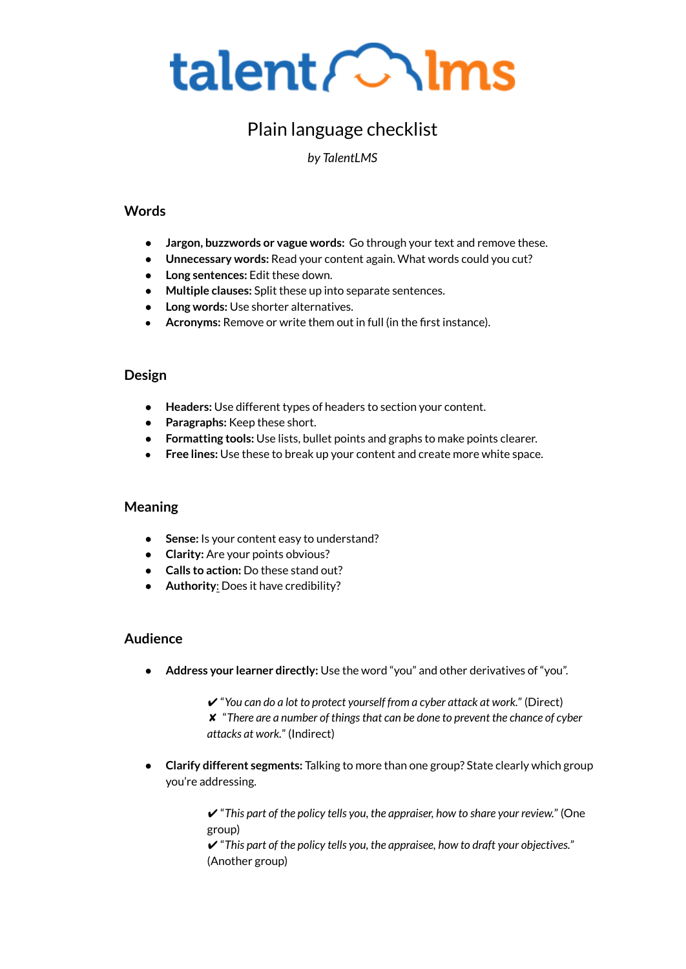

# Plain language checklist

*by TalentLMS*

# **Words**

- **Jargon, buzzwords or vague words:** Go through your text and remove these.
- **Unnecessary words:** Read your content again. What words could you cut?
- **Long sentences:** Edit these down.
- **Multiple clauses:** Split these up into separate sentences.
- **Long words:** Use shorter alternatives.
- **Acronyms:** Remove or write them out in full (in the first instance).

# **Design**

- **Headers:** Use different types of headers to section your content.
- **Paragraphs:** Keep these short.
- **Formatting tools:** Use lists, bullet points and graphs to make points clearer.
- **Free lines:** Use these to break up your content and create more white space.

#### **Meaning**

- **Sense:** Is your content easy to understand?
- **Clarity:** Are your points obvious?
- **Calls to action:** Do these stand out?
- **Authority**: Does it have credibility?

#### **Audience**

● **Address your learner directly:** Use the word "you" and other derivatives of "you".

✔ "*You can do a lot to protect yourself from a cyber attack at work.*" (Direct) ✘ "*There are a number of thingsthat can be done to prevent the chance of cyber attacks at work.*" (Indirect)

● **Clarify different segments:** Talking to more than one group? State clearly which group you're addressing.

> ✔ "*This part of the policy tells you, the appraiser, how to share your review.*" (One group)

✔ "*This part of the policy tells you, the appraisee, how to draft your objectives.*" (Another group)